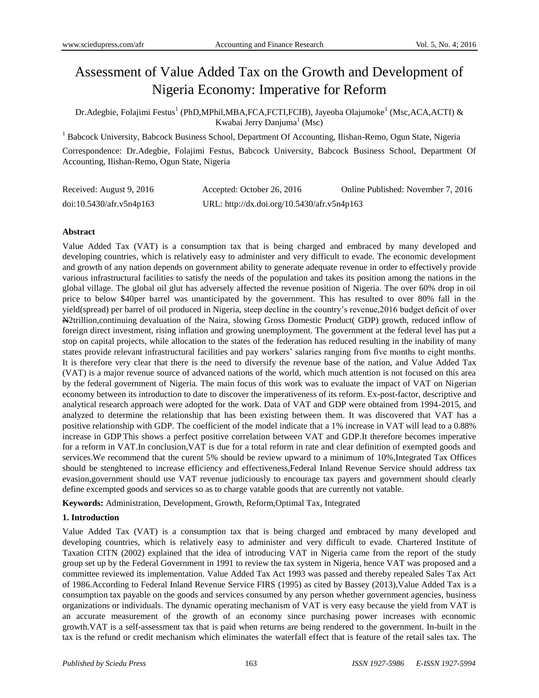# Assessment of Value Added Tax on the Growth and Development of Nigeria Economy: Imperative for Reform

Dr.Adegbie, Folajimi Festus<sup>1</sup> (PhD,MPhil,MBA,FCA,FCTI,FCIB), Jayeoba Olajumoke<sup>1</sup> (Msc,ACA,ACTI) & Kwabai Jerry Danjuma<sup>1</sup> (Msc)

<sup>1</sup> Babcock University, Babcock Business School, Department Of Accounting, Ilishan-Remo, Ogun State, Nigeria

Correspondence: Dr.Adegbie, Folajimi Festus, Babcock University, Babcock Business School, Department Of Accounting, Ilishan-Remo, Ogun State, Nigeria

| Received: August 9, 2016 | Accepted: October 26, 2016                  | Online Published: November 7, 2016 |
|--------------------------|---------------------------------------------|------------------------------------|
| doi:10.5430/afr.v5n4p163 | URL: http://dx.doi.org/10.5430/afr.v5n4p163 |                                    |

# **Abstract**

Value Added Tax (VAT) is a consumption tax that is being charged and embraced by many developed and developing countries, which is relatively easy to administer and very difficult to evade. The economic development and growth of any nation depends on government ability to generate adequate revenue in order to effectively provide various infrastructural facilities to satisfy the needs of the population and takes its position among the nations in the global village. The global oil glut has adversely affected the revenue position of Nigeria. The over 60% drop in oil price to below \$40per barrel was unanticipated by the government. This has resulted to over 80% fall in the yield(spread) per barrel of oil produced in Nigeria, steep decline in the country's revenue,2016 budget deficit of over N2trillion,continuing devaluation of the Naira, slowing Gross Domestic Product( GDP) growth, reduced inflow of foreign direct investment, rising inflation and growing unemployment. The government at the federal level has put a stop on capital projects, while allocation to the states of the federation has reduced resulting in the inability of many states provide relevant infrastructural facilities and pay workers' salaries ranging from five months to eight months. It is therefore very clear that there is the need to diversify the revenue base of the nation, and Value Added Tax (VAT) is a major revenue source of advanced nations of the world, which much attention is not focused on this area by the federal government of Nigeria. The main focus of this work was to evaluate the impact of VAT on Nigerian economy between its introduction to date to discover the imperativeness of its reform. Ex-post-factor, descriptive and analytical research approach were adopted for the work. Data of VAT and GDP were obtained from 1994-2015, and analyzed to determine the relationship that has been existing between them. It was discovered that VAT has a positive relationship with GDP. The coefficient of the model indicate that a 1% increase in VAT will lead to a 0.88% increase in GDP.This shows a perfect positive correlation between VAT and GDP.It therefore becomes imperative for a reform in VAT.In conclusion,VAT is due for a total reform in rate and clear definition of exempted goods and services. We recommend that the curent 5% should be review upward to a minimum of 10%, Integrated Tax Offices should be stenghtened to increase efficiency and effectiveness,Federal Inland Revenue Service should address tax evasion,government should use VAT revenue judiciously to encourage tax payers and government should clearly define excempted goods and services so as to charge vatable goods that are currently not vatable.

**Keywords:** Administration, Development, Growth, Reform,Optimal Tax, Integrated

#### **1. Introduction**

Value Added Tax (VAT) is a consumption tax that is being charged and embraced by many developed and developing countries, which is relatively easy to administer and very difficult to evade. Chartered Institute of Taxation CITN (2002) explained that the idea of introducing VAT in Nigeria came from the report of the study group set up by the Federal Government in 1991 to review the tax system in Nigeria, hence VAT was proposed and a committee reviewed its implementation. Value Added Tax Act 1993 was passed and thereby repealed Sales Tax Act of 1986.According to Federal Inland Revenue Service FIRS (1995) as cited by Bassey (2013),Value Added Tax is a consumption tax payable on the goods and services consumed by any person whether government agencies, business organizations or individuals. The dynamic operating mechanism of VAT is very easy because the yield from VAT is an accurate measurement of the growth of an economy since purchasing power increases with economic growth.VAT is a self-assessment tax that is paid when returns are being rendered to the government. In-built in the tax is the refund or credit mechanism which eliminates the waterfall effect that is feature of the retail sales tax. The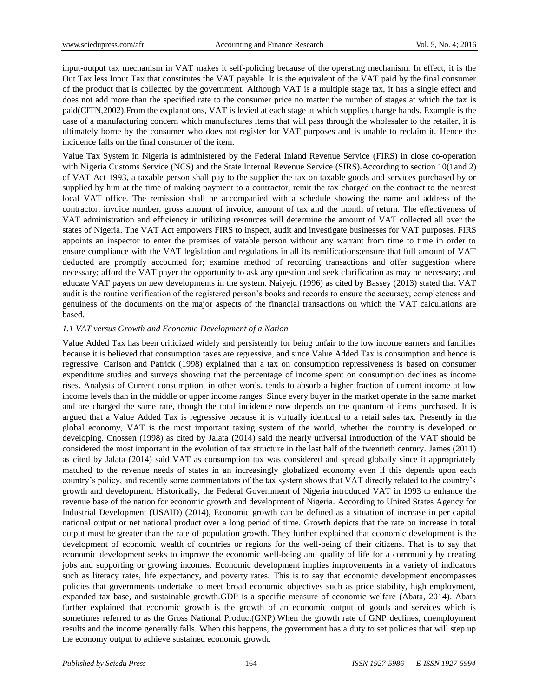input-output tax mechanism in VAT makes it self-policing because of the operating mechanism. In effect, it is the Out Tax less Input Tax that constitutes the VAT payable. It is the equivalent of the VAT paid by the final consumer of the product that is collected by the government. Although VAT is a multiple stage tax, it has a single effect and does not add more than the specified rate to the consumer price no matter the number of stages at which the tax is paid(CITN,2002).From the explanations, VAT is levied at each stage at which supplies change hands. Example is the case of a manufacturing concern which manufactures items that will pass through the wholesaler to the retailer, it is ultimately borne by the consumer who does not register for VAT purposes and is unable to reclaim it. Hence the incidence falls on the final consumer of the item.

Value Tax System in Nigeria is administered by the Federal Inland Revenue Service (FIRS) in close co-operation with Nigeria Customs Service (NCS) and the State Internal Revenue Service (SIRS).According to section 10(1and 2) of VAT Act 1993, a taxable person shall pay to the supplier the tax on taxable goods and services purchased by or supplied by him at the time of making payment to a contractor, remit the tax charged on the contract to the nearest local VAT office. The remission shall be accompanied with a schedule showing the name and address of the contractor, invoice number, gross amount of invoice, amount of tax and the month of return. The effectiveness of VAT administration and efficiency in utilizing resources will determine the amount of VAT collected all over the states of Nigeria. The VAT Act empowers FIRS to inspect, audit and investigate businesses for VAT purposes. FIRS appoints an inspector to enter the premises of vatable person without any warrant from time to time in order to ensure compliance with the VAT legislation and regulations in all its remifications;ensure that full amount of VAT deducted are promptly accounted for; examine method of recording transactions and offer suggestion where necessary; afford the VAT payer the opportunity to ask any question and seek clarification as may be necessary; and educate VAT payers on new developments in the system. Naiyeju (1996) as cited by Bassey (2013) stated that VAT audit is the routine verification of the registered person's books and records to ensure the accuracy, completeness and genuiness of the documents on the major aspects of the financial transactions on which the VAT calculations are based.

# *1.1 VAT versus Growth and Economic Development of a Nation*

Value Added Tax has been criticized widely and persistently for being unfair to the low income earners and families because it is believed that consumption taxes are regressive, and since Value Added Tax is consumption and hence is regressive. Carlson and Patrick (1998) explained that a tax on consumption repressiveness is based on consumer expenditure studies and surveys showing that the percentage of income spent on consumption declines as income rises. Analysis of Current consumption, in other words, tends to absorb a higher fraction of current income at low income levels than in the middle or upper income ranges. Since every buyer in the market operate in the same market and are charged the same rate, though the total incidence now depends on the quantum of items purchased. It is argued that a Value Added Tax is regressive because it is virtually identical to a retail sales tax. Presently in the global economy, VAT is the most important taxing system of the world, whether the country is developed or developing. Cnossen (1998) as cited by Jalata (2014) said the nearly universal introduction of the VAT should be considered the most important in the evolution of tax structure in the last half of the twentieth century. James (2011) as cited by Jalata (2014) said VAT as consumption tax was considered and spread globally since it appropriately matched to the revenue needs of states in an increasingly globalized economy even if this depends upon each country's policy, and recently some commentators of the tax system shows that VAT directly related to the country's growth and development. Historically, the Federal Government of Nigeria introduced VAT in 1993 to enhance the revenue base of the nation for economic growth and development of Nigeria. According to United States Agency for Industrial Development (USAID) (2014), Economic growth can be defined as a situation of increase in per capital national output or net national product over a long period of time. Growth depicts that the rate on increase in total output must be greater than the rate of population growth. They further explained that economic development is the development of economic wealth of countries or regions for the well-being of their citizens. That is to say that economic development seeks to improve the economic well-being and quality of life for a community by creating jobs and supporting or growing incomes. Economic development implies improvements in a variety of indicators such as literacy rates, life expectancy, and poverty rates. This is to say that economic development encompasses policies that governments undertake to meet broad economic objectives such as price stability, high employment, expanded tax base, and sustainable growth.GDP is a specific measure of economic welfare (Abata, 2014). Abata further explained that economic growth is the growth of an economic output of goods and services which is sometimes referred to as the Gross National Product(GNP). When the growth rate of GNP declines, unemployment results and the income generally falls. When this happens, the government has a duty to set policies that will step up the economy output to achieve sustained economic growth.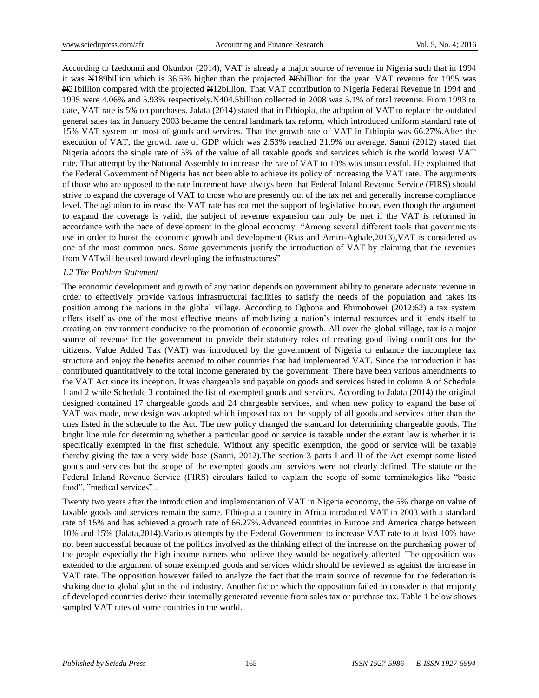According to Izedonmi and Okunbor (2014), VAT is already a major source of revenue in Nigeria such that in 1994 it was N<sub>189</sub>billion which is 36.5% higher than the projected N6billion for the year. VAT revenue for 1995 was N21billion compared with the projected N12billion. That VAT contribution to Nigeria Federal Revenue in 1994 and 1995 were 4.06% and 5.93% respectively.N404.5billion collected in 2008 was 5.1% of total revenue. From 1993 to date, VAT rate is 5% on purchases. Jalata (2014) stated that in Ethiopia, the adoption of VAT to replace the outdated general sales tax in January 2003 became the central landmark tax reform, which introduced uniform standard rate of 15% VAT system on most of goods and services. That the growth rate of VAT in Ethiopia was 66.27%.After the execution of VAT, the growth rate of GDP which was 2.53% reached 21.9% on average. Sanni (2012) stated that Nigeria adopts the single rate of 5% of the value of all taxable goods and services which is the world lowest VAT rate. That attempt by the National Assembly to increase the rate of VAT to 10% was unsuccessful. He explained that the Federal Government of Nigeria has not been able to achieve its policy of increasing the VAT rate. The arguments of those who are opposed to the rate increment have always been that Federal Inland Revenue Service (FIRS) should strive to expand the coverage of VAT to those who are presently out of the tax net and generally increase compliance level. The agitation to increase the VAT rate has not met the support of legislative house, even though the argument to expand the coverage is valid, the subject of revenue expansion can only be met if the VAT is reformed in accordance with the pace of development in the global economy. "Among several different tools that governments use in order to boost the economic growth and development (Rias and Amiri-Aghale,2013),VAT is considered as one of the most common ones. Some governments justify the introduction of VAT by claiming that the revenues from VATwill be used toward developing the infrastructures"

#### *1.2 The Problem Statement*

The economic development and growth of any nation depends on government ability to generate adequate revenue in order to effectively provide various infrastructural facilities to satisfy the needs of the population and takes its position among the nations in the global village. According to Ogbona and Ebimobowei (2012:62) a tax system offers itself as one of the most effective means of mobilizing a nation's internal resources and it lends itself to creating an environment conducive to the promotion of economic growth. All over the global village, tax is a major source of revenue for the government to provide their statutory roles of creating good living conditions for the citizens. Value Added Tax (VAT) was introduced by the government of Nigeria to enhance the incomplete tax structure and enjoy the benefits accrued to other countries that had implemented VAT. Since the introduction it has contributed quantitatively to the total income generated by the government. There have been various amendments to the VAT Act since its inception. It was chargeable and payable on goods and services listed in column A of Schedule 1 and 2 while Schedule 3 contained the list of exempted goods and services. According to Jalata (2014) the original designed contained 17 chargeable goods and 24 chargeable services, and when new policy to expand the base of VAT was made, new design was adopted which imposed tax on the supply of all goods and services other than the ones listed in the schedule to the Act. The new policy changed the standard for determining chargeable goods. The bright line rule for determining whether a particular good or service is taxable under the extant law is whether it is specifically exempted in the first schedule. Without any specific exemption, the good or service will be taxable thereby giving the tax a very wide base (Sanni, 2012).The section 3 parts I and II of the Act exempt some listed goods and services but the scope of the exempted goods and services were not clearly defined. The statute or the Federal Inland Revenue Service (FIRS) circulars failed to explain the scope of some terminologies like "basic food", "medical services" .

Twenty two years after the introduction and implementation of VAT in Nigeria economy, the 5% charge on value of taxable goods and services remain the same. Ethiopia a country in Africa introduced VAT in 2003 with a standard rate of 15% and has achieved a growth rate of 66.27%.Advanced countries in Europe and America charge between 10% and 15% (Jalata,2014).Various attempts by the Federal Government to increase VAT rate to at least 10% have not been successful because of the politics involved as the thinking effect of the increase on the purchasing power of the people especially the high income earners who believe they would be negatively affected. The opposition was extended to the argument of some exempted goods and services which should be reviewed as against the increase in VAT rate. The opposition however failed to analyze the fact that the main source of revenue for the federation is shaking due to global glut in the oil industry. Another factor which the opposition failed to consider is that majority of developed countries derive their internally generated revenue from sales tax or purchase tax. Table 1 below shows sampled VAT rates of some countries in the world.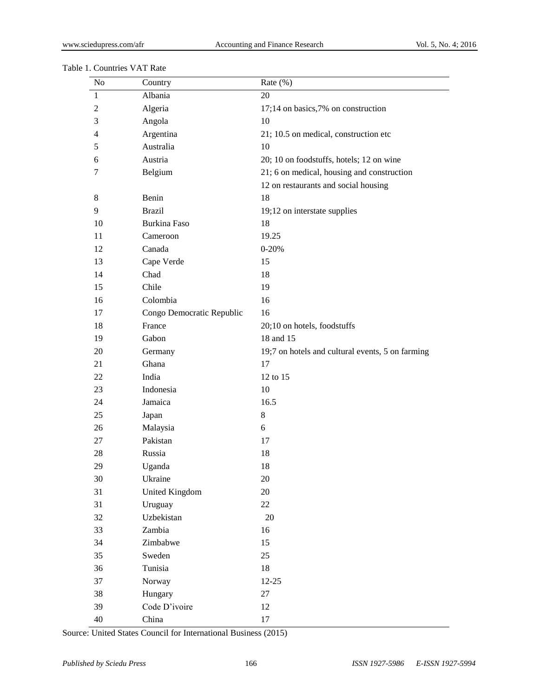| No             | Country                   | Rate $(\%)$                                      |
|----------------|---------------------------|--------------------------------------------------|
| 1              | Albania                   | 20                                               |
| $\overline{2}$ | Algeria                   | 17;14 on basics,7% on construction               |
| 3              | Angola                    | 10                                               |
| $\overline{4}$ | Argentina                 | 21; 10.5 on medical, construction etc            |
| 5              | Australia                 | 10                                               |
| 6              | Austria                   | 20; 10 on foodstuffs, hotels; 12 on wine         |
| 7              | Belgium                   | 21; 6 on medical, housing and construction       |
|                |                           | 12 on restaurants and social housing             |
| 8              | Benin                     | 18                                               |
| 9              | <b>Brazil</b>             | 19;12 on interstate supplies                     |
| 10             | Burkina Faso              | 18                                               |
| 11             | Cameroon                  | 19.25                                            |
| 12             | Canada                    | $0 - 20%$                                        |
| 13             | Cape Verde                | 15                                               |
| 14             | Chad                      | 18                                               |
| 15             | Chile                     | 19                                               |
| 16             | Colombia                  | 16                                               |
| 17             | Congo Democratic Republic | 16                                               |
| 18             | France                    | 20;10 on hotels, foodstuffs                      |
| 19             | Gabon                     | 18 and 15                                        |
| 20             | Germany                   | 19;7 on hotels and cultural events, 5 on farming |
| 21             | Ghana                     | 17                                               |
| 22             | India                     | 12 to 15                                         |
| 23             | Indonesia                 | $10\,$                                           |
| 24             | Jamaica                   | 16.5                                             |
| 25             | Japan                     | $8\,$                                            |
| 26             | Malaysia                  | 6                                                |
| 27             | Pakistan                  | 17                                               |
| 28             | Russia                    | 18                                               |
| 29             | Uganda                    | 18                                               |
| 30             | Ukraine                   | $20\,$                                           |
| 31             | <b>United Kingdom</b>     | $20\,$                                           |
| 31             | Uruguay                   | 22                                               |
| 32             | Uzbekistan                | 20                                               |
| 33             | Zambia                    | 16                                               |
| 34             | Zimbabwe                  | 15                                               |
| 35             | Sweden                    | 25                                               |
| 36             | Tunisia                   | 18                                               |
| 37             | Norway                    | $12 - 25$                                        |
| 38             | Hungary                   | 27                                               |
| 39             | Code D'ivoire             | 12                                               |
| 40             | China                     | 17                                               |

# Table 1. Countries VAT Rate

Source: United States Council for International Business (2015)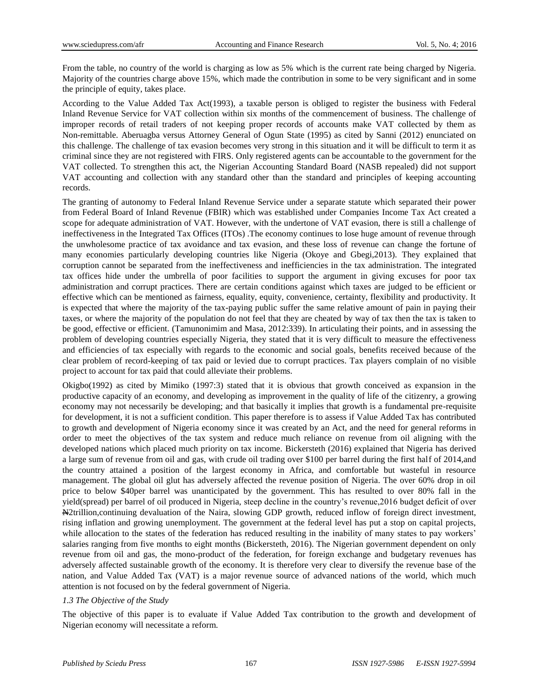From the table, no country of the world is charging as low as 5% which is the current rate being charged by Nigeria. Majority of the countries charge above 15%, which made the contribution in some to be very significant and in some the principle of equity, takes place.

According to the Value Added Tax Act(1993), a taxable person is obliged to register the business with Federal Inland Revenue Service for VAT collection within six months of the commencement of business. The challenge of improper records of retail traders of not keeping proper records of accounts make VAT collected by them as Non-remittable. Aberuagba versus Attorney General of Ogun State (1995) as cited by Sanni (2012) enunciated on this challenge. The challenge of tax evasion becomes very strong in this situation and it will be difficult to term it as criminal since they are not registered with FIRS. Only registered agents can be accountable to the government for the VAT collected. To strengthen this act, the Nigerian Accounting Standard Board (NASB repealed) did not support VAT accounting and collection with any standard other than the standard and principles of keeping accounting records.

The granting of autonomy to Federal Inland Revenue Service under a separate statute which separated their power from Federal Board of Inland Revenue (FBIR) which was established under Companies Income Tax Act created a scope for adequate administration of VAT. However, with the undertone of VAT evasion, there is still a challenge of ineffectiveness in the Integrated Tax Offices (ITOs) .The economy continues to lose huge amount of revenue through the unwholesome practice of tax avoidance and tax evasion, and these loss of revenue can change the fortune of many economies particularly developing countries like Nigeria (Okoye and Gbegi,2013). They explained that corruption cannot be separated from the ineffectiveness and inefficiencies in the tax administration. The integrated tax offices hide under the umbrella of poor facilities to support the argument in giving excuses for poor tax administration and corrupt practices. There are certain conditions against which taxes are judged to be efficient or effective which can be mentioned as fairness, equality, equity, convenience, certainty, flexibility and productivity. It is expected that where the majority of the tax-paying public suffer the same relative amount of pain in paying their taxes, or where the majority of the population do not feel that they are cheated by way of tax then the tax is taken to be good, effective or efficient. (Tamunonimim and Masa, 2012:339). In articulating their points, and in assessing the problem of developing countries especially Nigeria, they stated that it is very difficult to measure the effectiveness and efficiencies of tax especially with regards to the economic and social goals, benefits received because of the clear problem of record-keeping of tax paid or levied due to corrupt practices. Tax players complain of no visible project to account for tax paid that could alleviate their problems.

Okigbo(1992) as cited by Mimiko (1997:3) stated that it is obvious that growth conceived as expansion in the productive capacity of an economy, and developing as improvement in the quality of life of the citizenry, a growing economy may not necessarily be developing; and that basically it implies that growth is a fundamental pre-requisite for development, it is not a sufficient condition. This paper therefore is to assess if Value Added Tax has contributed to growth and development of Nigeria economy since it was created by an Act, and the need for general reforms in order to meet the objectives of the tax system and reduce much reliance on revenue from oil aligning with the developed nations which placed much priority on tax income. Bickersteth (2016) explained that Nigeria has derived a large sum of revenue from oil and gas, with crude oil trading over \$100 per barrel during the first half of 2014,and the country attained a position of the largest economy in Africa, and comfortable but wasteful in resource management. The global oil glut has adversely affected the revenue position of Nigeria. The over 60% drop in oil price to below \$40per barrel was unanticipated by the government. This has resulted to over 80% fall in the yield(spread) per barrel of oil produced in Nigeria, steep decline in the country's revenue,2016 budget deficit of over N2trillion,continuing devaluation of the Naira, slowing GDP growth, reduced inflow of foreign direct investment, rising inflation and growing unemployment. The government at the federal level has put a stop on capital projects, while allocation to the states of the federation has reduced resulting in the inability of many states to pay workers' salaries ranging from five months to eight months (Bickersteth, 2016). The Nigerian government dependent on only revenue from oil and gas, the mono-product of the federation, for foreign exchange and budgetary revenues has adversely affected sustainable growth of the economy. It is therefore very clear to diversify the revenue base of the nation, and Value Added Tax (VAT) is a major revenue source of advanced nations of the world, which much attention is not focused on by the federal government of Nigeria.

#### *1.3 The Objective of the Study*

The objective of this paper is to evaluate if Value Added Tax contribution to the growth and development of Nigerian economy will necessitate a reform.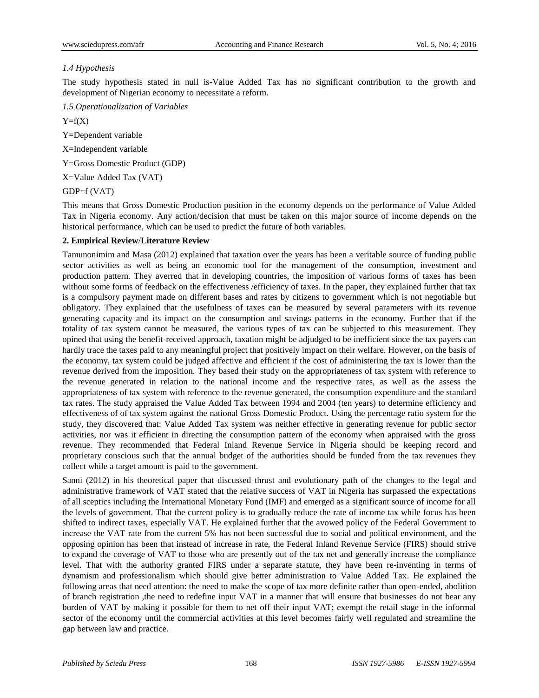# *1.4 Hypothesis*

The study hypothesis stated in null is-Value Added Tax has no significant contribution to the growth and development of Nigerian economy to necessitate a reform.

*1.5 Operationalization of Variables*

 $Y=f(X)$ 

Y=Dependent variable

X=Independent variable

Y=Gross Domestic Product (GDP)

X=Value Added Tax (VAT)

GDP=f (VAT)

This means that Gross Domestic Production position in the economy depends on the performance of Value Added Tax in Nigeria economy. Any action/decision that must be taken on this major source of income depends on the historical performance, which can be used to predict the future of both variables.

#### **2. Empirical Review**/**Literature Review**

Tamunonimim and Masa (2012) explained that taxation over the years has been a veritable source of funding public sector activities as well as being an economic tool for the management of the consumption, investment and production pattern. They averred that in developing countries, the imposition of various forms of taxes has been without some forms of feedback on the effectiveness /efficiency of taxes. In the paper, they explained further that tax is a compulsory payment made on different bases and rates by citizens to government which is not negotiable but obligatory. They explained that the usefulness of taxes can be measured by several parameters with its revenue generating capacity and its impact on the consumption and savings patterns in the economy. Further that if the totality of tax system cannot be measured, the various types of tax can be subjected to this measurement. They opined that using the benefit-received approach, taxation might be adjudged to be inefficient since the tax payers can hardly trace the taxes paid to any meaningful project that positively impact on their welfare. However, on the basis of the economy, tax system could be judged affective and efficient if the cost of administering the tax is lower than the revenue derived from the imposition. They based their study on the appropriateness of tax system with reference to the revenue generated in relation to the national income and the respective rates, as well as the assess the appropriateness of tax system with reference to the revenue generated, the consumption expenditure and the standard tax rates. The study appraised the Value Added Tax between 1994 and 2004 (ten years) to determine efficiency and effectiveness of of tax system against the national Gross Domestic Product. Using the percentage ratio system for the study, they discovered that: Value Added Tax system was neither effective in generating revenue for public sector activities, nor was it efficient in directing the consumption pattern of the economy when appraised with the gross revenue. They recommended that Federal Inland Revenue Service in Nigeria should be keeping record and proprietary conscious such that the annual budget of the authorities should be funded from the tax revenues they collect while a target amount is paid to the government.

Sanni (2012) in his theoretical paper that discussed thrust and evolutionary path of the changes to the legal and administrative framework of VAT stated that the relative success of VAT in Nigeria has surpassed the expectations of all sceptics including the International Monetary Fund (IMF) and emerged as a significant source of income for all the levels of government. That the current policy is to gradually reduce the rate of income tax while focus has been shifted to indirect taxes, especially VAT. He explained further that the avowed policy of the Federal Government to increase the VAT rate from the current 5% has not been successful due to social and political environment, and the opposing opinion has been that instead of increase in rate, the Federal Inland Revenue Service (FIRS) should strive to expand the coverage of VAT to those who are presently out of the tax net and generally increase the compliance level. That with the authority granted FIRS under a separate statute, they have been re-inventing in terms of dynamism and professionalism which should give better administration to Value Added Tax. He explained the following areas that need attention: the need to make the scope of tax more definite rather than open-ended, abolition of branch registration ,the need to redefine input VAT in a manner that will ensure that businesses do not bear any burden of VAT by making it possible for them to net off their input VAT; exempt the retail stage in the informal sector of the economy until the commercial activities at this level becomes fairly well regulated and streamline the gap between law and practice.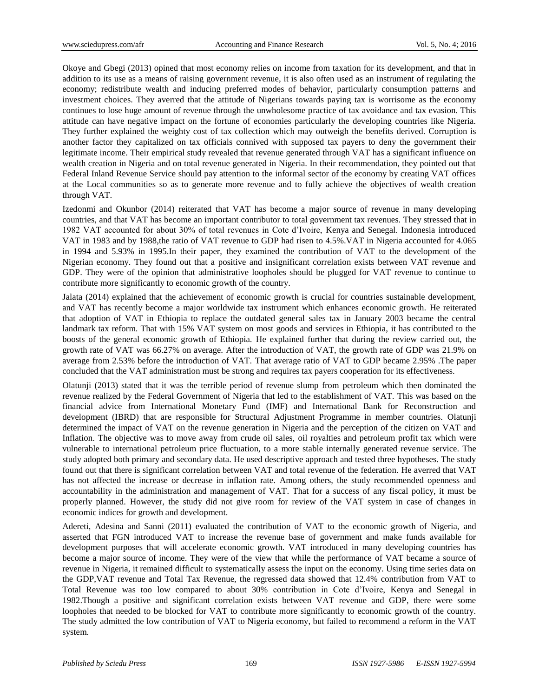Okoye and Gbegi (2013) opined that most economy relies on income from taxation for its development, and that in addition to its use as a means of raising government revenue, it is also often used as an instrument of regulating the economy; redistribute wealth and inducing preferred modes of behavior, particularly consumption patterns and investment choices. They averred that the attitude of Nigerians towards paying tax is worrisome as the economy continues to lose huge amount of revenue through the unwholesome practice of tax avoidance and tax evasion. This attitude can have negative impact on the fortune of economies particularly the developing countries like Nigeria. They further explained the weighty cost of tax collection which may outweigh the benefits derived. Corruption is another factor they capitalized on tax officials connived with supposed tax payers to deny the government their legitimate income. Their empirical study revealed that revenue generated through VAT has a significant influence on wealth creation in Nigeria and on total revenue generated in Nigeria. In their recommendation, they pointed out that Federal Inland Revenue Service should pay attention to the informal sector of the economy by creating VAT offices at the Local communities so as to generate more revenue and to fully achieve the objectives of wealth creation through VAT.

Izedonmi and Okunbor (2014) reiterated that VAT has become a major source of revenue in many developing countries, and that VAT has become an important contributor to total government tax revenues. They stressed that in 1982 VAT accounted for about 30% of total revenues in Cote d'Ivoire, Kenya and Senegal. Indonesia introduced VAT in 1983 and by 1988,the ratio of VAT revenue to GDP had risen to 4.5%.VAT in Nigeria accounted for 4.065 in 1994 and 5.93% in 1995.In their paper, they examined the contribution of VAT to the development of the Nigerian economy. They found out that a positive and insignificant correlation exists between VAT revenue and GDP. They were of the opinion that administrative loopholes should be plugged for VAT revenue to continue to contribute more significantly to economic growth of the country.

Jalata (2014) explained that the achievement of economic growth is crucial for countries sustainable development, and VAT has recently become a major worldwide tax instrument which enhances economic growth. He reiterated that adoption of VAT in Ethiopia to replace the outdated general sales tax in January 2003 became the central landmark tax reform. That with 15% VAT system on most goods and services in Ethiopia, it has contributed to the boosts of the general economic growth of Ethiopia. He explained further that during the review carried out, the growth rate of VAT was 66.27% on average. After the introduction of VAT, the growth rate of GDP was 21.9% on average from 2.53% before the introduction of VAT. That average ratio of VAT to GDP became 2.95% .The paper concluded that the VAT administration must be strong and requires tax payers cooperation for its effectiveness.

Olatunji (2013) stated that it was the terrible period of revenue slump from petroleum which then dominated the revenue realized by the Federal Government of Nigeria that led to the establishment of VAT. This was based on the financial advice from International Monetary Fund (IMF) and International Bank for Reconstruction and development (IBRD) that are responsible for Structural Adjustment Programme in member countries. Olatunji determined the impact of VAT on the revenue generation in Nigeria and the perception of the citizen on VAT and Inflation. The objective was to move away from crude oil sales, oil royalties and petroleum profit tax which were vulnerable to international petroleum price fluctuation, to a more stable internally generated revenue service. The study adopted both primary and secondary data. He used descriptive approach and tested three hypotheses. The study found out that there is significant correlation between VAT and total revenue of the federation. He averred that VAT has not affected the increase or decrease in inflation rate. Among others, the study recommended openness and accountability in the administration and management of VAT. That for a success of any fiscal policy, it must be properly planned. However, the study did not give room for review of the VAT system in case of changes in economic indices for growth and development.

Adereti, Adesina and Sanni (2011) evaluated the contribution of VAT to the economic growth of Nigeria, and asserted that FGN introduced VAT to increase the revenue base of government and make funds available for development purposes that will accelerate economic growth. VAT introduced in many developing countries has become a major source of income. They were of the view that while the performance of VAT became a source of revenue in Nigeria, it remained difficult to systematically assess the input on the economy. Using time series data on the GDP,VAT revenue and Total Tax Revenue, the regressed data showed that 12.4% contribution from VAT to Total Revenue was too low compared to about 30% contribution in Cote d'Ivoire, Kenya and Senegal in 1982.Though a positive and significant correlation exists between VAT revenue and GDP, there were some loopholes that needed to be blocked for VAT to contribute more significantly to economic growth of the country. The study admitted the low contribution of VAT to Nigeria economy, but failed to recommend a reform in the VAT system.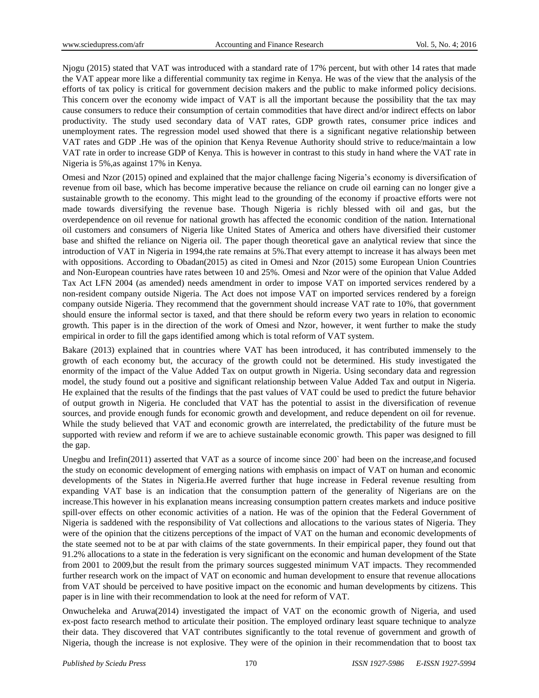Njogu (2015) stated that VAT was introduced with a standard rate of 17% percent, but with other 14 rates that made the VAT appear more like a differential community tax regime in Kenya. He was of the view that the analysis of the efforts of tax policy is critical for government decision makers and the public to make informed policy decisions. This concern over the economy wide impact of VAT is all the important because the possibility that the tax may cause consumers to reduce their consumption of certain commodities that have direct and/or indirect effects on labor productivity. The study used secondary data of VAT rates, GDP growth rates, consumer price indices and unemployment rates. The regression model used showed that there is a significant negative relationship between VAT rates and GDP .He was of the opinion that Kenya Revenue Authority should strive to reduce/maintain a low VAT rate in order to increase GDP of Kenya. This is however in contrast to this study in hand where the VAT rate in Nigeria is 5%,as against 17% in Kenya.

Omesi and Nzor (2015) opined and explained that the major challenge facing Nigeria's economy is diversification of revenue from oil base, which has become imperative because the reliance on crude oil earning can no longer give a sustainable growth to the economy. This might lead to the grounding of the economy if proactive efforts were not made towards diversifying the revenue base. Though Nigeria is richly blessed with oil and gas, but the overdependence on oil revenue for national growth has affected the economic condition of the nation. International oil customers and consumers of Nigeria like United States of America and others have diversified their customer base and shifted the reliance on Nigeria oil. The paper though theoretical gave an analytical review that since the introduction of VAT in Nigeria in 1994,the rate remains at 5%.That every attempt to increase it has always been met with oppositions. According to Obadan(2015) as cited in Omesi and Nzor (2015) some European Union Countries and Non-European countries have rates between 10 and 25%. Omesi and Nzor were of the opinion that Value Added Tax Act LFN 2004 (as amended) needs amendment in order to impose VAT on imported services rendered by a non-resident company outside Nigeria. The Act does not impose VAT on imported services rendered by a foreign company outside Nigeria. They recommend that the government should increase VAT rate to 10%, that government should ensure the informal sector is taxed, and that there should be reform every two years in relation to economic growth. This paper is in the direction of the work of Omesi and Nzor, however, it went further to make the study empirical in order to fill the gaps identified among which is total reform of VAT system.

Bakare (2013) explained that in countries where VAT has been introduced, it has contributed immensely to the growth of each economy but, the accuracy of the growth could not be determined. His study investigated the enormity of the impact of the Value Added Tax on output growth in Nigeria. Using secondary data and regression model, the study found out a positive and significant relationship between Value Added Tax and output in Nigeria. He explained that the results of the findings that the past values of VAT could be used to predict the future behavior of output growth in Nigeria. He concluded that VAT has the potential to assist in the diversification of revenue sources, and provide enough funds for economic growth and development, and reduce dependent on oil for revenue. While the study believed that VAT and economic growth are interrelated, the predictability of the future must be supported with review and reform if we are to achieve sustainable economic growth. This paper was designed to fill the gap.

Unegbu and Irefin(2011) asserted that VAT as a source of income since 200` had been on the increase,and focused the study on economic development of emerging nations with emphasis on impact of VAT on human and economic developments of the States in Nigeria.He averred further that huge increase in Federal revenue resulting from expanding VAT base is an indication that the consumption pattern of the generality of Nigerians are on the increase.This however in his explanation means increasing consumption pattern creates markets and induce positive spill-over effects on other economic activities of a nation. He was of the opinion that the Federal Government of Nigeria is saddened with the responsibility of Vat collections and allocations to the various states of Nigeria. They were of the opinion that the citizens perceptions of the impact of VAT on the human and economic developments of the state seemed not to be at par with claims of the state governments. In their empirical paper, they found out that 91.2% allocations to a state in the federation is very significant on the economic and human development of the State from 2001 to 2009,but the result from the primary sources suggested minimum VAT impacts. They recommended further research work on the impact of VAT on economic and human development to ensure that revenue allocations from VAT should be perceived to have positive impact on the economic and human developments by citizens. This paper is in line with their recommendation to look at the need for reform of VAT.

Onwucheleka and Aruwa(2014) investigated the impact of VAT on the economic growth of Nigeria, and used ex-post facto research method to articulate their position. The employed ordinary least square technique to analyze their data. They discovered that VAT contributes significantly to the total revenue of government and growth of Nigeria, though the increase is not explosive. They were of the opinion in their recommendation that to boost tax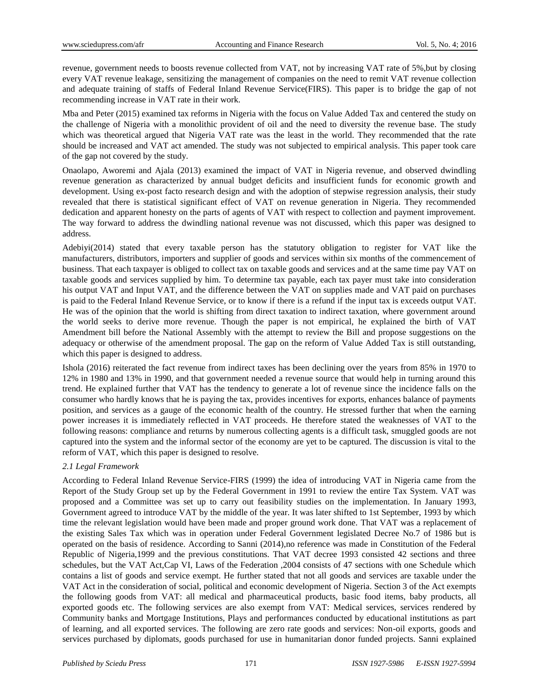revenue, government needs to boosts revenue collected from VAT, not by increasing VAT rate of 5%,but by closing every VAT revenue leakage, sensitizing the management of companies on the need to remit VAT revenue collection and adequate training of staffs of Federal Inland Revenue Service(FIRS). This paper is to bridge the gap of not recommending increase in VAT rate in their work.

Mba and Peter (2015) examined tax reforms in Nigeria with the focus on Value Added Tax and centered the study on the challenge of Nigeria with a monolithic provident of oil and the need to diversity the revenue base. The study which was theoretical argued that Nigeria VAT rate was the least in the world. They recommended that the rate should be increased and VAT act amended. The study was not subjected to empirical analysis. This paper took care of the gap not covered by the study.

Onaolapo, Aworemi and Ajala (2013) examined the impact of VAT in Nigeria revenue, and observed dwindling revenue generation as characterized by annual budget deficits and insufficient funds for economic growth and development. Using ex-post facto research design and with the adoption of stepwise regression analysis, their study revealed that there is statistical significant effect of VAT on revenue generation in Nigeria. They recommended dedication and apparent honesty on the parts of agents of VAT with respect to collection and payment improvement. The way forward to address the dwindling national revenue was not discussed, which this paper was designed to address.

Adebiyi(2014) stated that every taxable person has the statutory obligation to register for VAT like the manufacturers, distributors, importers and supplier of goods and services within six months of the commencement of business. That each taxpayer is obliged to collect tax on taxable goods and services and at the same time pay VAT on taxable goods and services supplied by him. To determine tax payable, each tax payer must take into consideration his output VAT and Input VAT, and the difference between the VAT on supplies made and VAT paid on purchases is paid to the Federal Inland Revenue Service, or to know if there is a refund if the input tax is exceeds output VAT. He was of the opinion that the world is shifting from direct taxation to indirect taxation, where government around the world seeks to derive more revenue. Though the paper is not empirical, he explained the birth of VAT Amendment bill before the National Assembly with the attempt to review the Bill and propose suggestions on the adequacy or otherwise of the amendment proposal. The gap on the reform of Value Added Tax is still outstanding, which this paper is designed to address.

Ishola (2016) reiterated the fact revenue from indirect taxes has been declining over the years from 85% in 1970 to 12% in 1980 and 13% in 1990, and that government needed a revenue source that would help in turning around this trend. He explained further that VAT has the tendency to generate a lot of revenue since the incidence falls on the consumer who hardly knows that he is paying the tax, provides incentives for exports, enhances balance of payments position, and services as a gauge of the economic health of the country. He stressed further that when the earning power increases it is immediately reflected in VAT proceeds. He therefore stated the weaknesses of VAT to the following reasons: compliance and returns by numerous collecting agents is a difficult task, smuggled goods are not captured into the system and the informal sector of the economy are yet to be captured. The discussion is vital to the reform of VAT, which this paper is designed to resolve.

# *2.1 Legal Framework*

According to Federal Inland Revenue Service-FIRS (1999) the idea of introducing VAT in Nigeria came from the Report of the Study Group set up by the Federal Government in 1991 to review the entire Tax System. VAT was proposed and a Committee was set up to carry out feasibility studies on the implementation. In January 1993, Government agreed to introduce VAT by the middle of the year. It was later shifted to 1st September, 1993 by which time the relevant legislation would have been made and proper ground work done. That VAT was a replacement of the existing Sales Tax which was in operation under Federal Government legislated Decree No.7 of 1986 but is operated on the basis of residence. According to Sanni (2014),no reference was made in Constitution of the Federal Republic of Nigeria,1999 and the previous constitutions. That VAT decree 1993 consisted 42 sections and three schedules, but the VAT Act,Cap VI, Laws of the Federation ,2004 consists of 47 sections with one Schedule which contains a list of goods and service exempt. He further stated that not all goods and services are taxable under the VAT Act in the consideration of social, political and economic development of Nigeria. Section 3 of the Act exempts the following goods from VAT: all medical and pharmaceutical products, basic food items, baby products, all exported goods etc. The following services are also exempt from VAT: Medical services, services rendered by Community banks and Mortgage Institutions, Plays and performances conducted by educational institutions as part of learning, and all exported services. The following are zero rate goods and services: Non-oil exports, goods and services purchased by diplomats, goods purchased for use in humanitarian donor funded projects. Sanni explained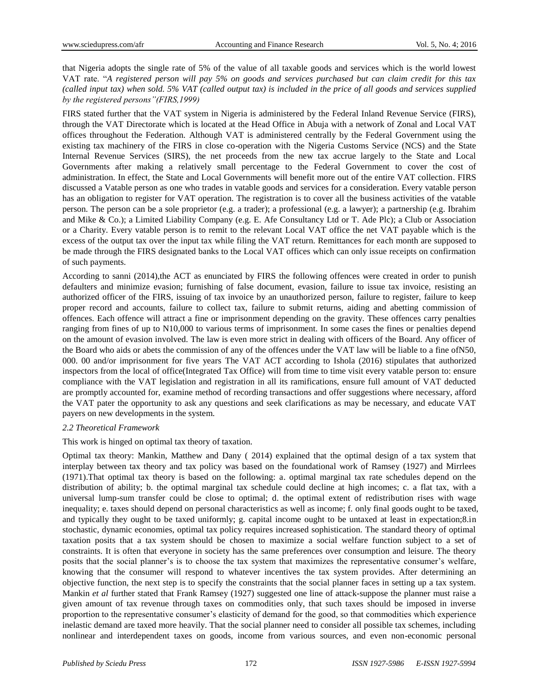that Nigeria adopts the single rate of 5% of the value of all taxable goods and services which is the world lowest VAT rate. "*A registered person will pay 5% on goods and services purchased but can claim credit for this tax (called input tax) when sold. 5% VAT (called output tax) is included in the price of all goods and services supplied by the registered persons"(FIRS,1999)*

FIRS stated further that the VAT system in Nigeria is administered by the Federal Inland Revenue Service (FIRS), through the VAT Directorate which is located at the Head Office in Abuja with a network of Zonal and Local VAT offices throughout the Federation. Although VAT is administered centrally by the Federal Government using the existing tax machinery of the FIRS in close co-operation with the Nigeria Customs Service (NCS) and the State Internal Revenue Services (SIRS), the net proceeds from the new tax accrue largely to the State and Local Governments after making a relatively small percentage to the Federal Government to cover the cost of administration. In effect, the State and Local Governments will benefit more out of the entire VAT collection. FIRS discussed a Vatable person as one who trades in vatable goods and services for a consideration. Every vatable person has an obligation to register for VAT operation. The registration is to cover all the business activities of the vatable person. The person can be a sole proprietor (e.g. a trader); a professional (e.g. a lawyer); a partnership (e.g. Ibrahim and Mike & Co.); a Limited Liability Company (e.g. E. Afe Consultancy Ltd or T. Ade Plc); a Club or Association or a Charity. Every vatable person is to remit to the relevant Local VAT office the net VAT payable which is the excess of the output tax over the input tax while filing the VAT return. Remittances for each month are supposed to be made through the FIRS designated banks to the Local VAT offices which can only issue receipts on confirmation of such payments.

According to sanni (2014),the ACT as enunciated by FIRS the following offences were created in order to punish defaulters and minimize evasion; furnishing of false document, evasion, failure to issue tax invoice, resisting an authorized officer of the FIRS, issuing of tax invoice by an unauthorized person, failure to register, failure to keep proper record and accounts, failure to collect tax, failure to submit returns, aiding and abetting commission of offences. Each offence will attract a fine or imprisonment depending on the gravity. These offences carry penalties ranging from fines of up to N10,000 to various terms of imprisonment. In some cases the fines or penalties depend on the amount of evasion involved. The law is even more strict in dealing with officers of the Board. Any officer of the Board who aids or abets the commission of any of the offences under the VAT law will be liable to a fine ofN50, 000. 00 and/or imprisonment for five years The VAT ACT according to Ishola (2016) stipulates that authorized inspectors from the local of office(Integrated Tax Office) will from time to time visit every vatable person to: ensure compliance with the VAT legislation and registration in all its ramifications, ensure full amount of VAT deducted are promptly accounted for, examine method of recording transactions and offer suggestions where necessary, afford the VAT pater the opportunity to ask any questions and seek clarifications as may be necessary, and educate VAT payers on new developments in the system.

#### *2.2 Theoretical Framework*

This work is hinged on optimal tax theory of taxation.

Optimal tax theory: Mankin, Matthew and Dany ( 2014) explained that the optimal design of a tax system that interplay between tax theory and tax policy was based on the foundational work of Ramsey (1927) and Mirrlees (1971).That optimal tax theory is based on the following: a. optimal marginal tax rate schedules depend on the distribution of ability; b. the optimal marginal tax schedule could decline at high incomes; c. a flat tax, with a universal lump-sum transfer could be close to optimal; d. the optimal extent of redistribution rises with wage inequality; e. taxes should depend on personal characteristics as well as income; f. only final goods ought to be taxed, and typically they ought to be taxed uniformly; g. capital income ought to be untaxed at least in expectation;8.in stochastic, dynamic economies, optimal tax policy requires increased sophistication. The standard theory of optimal taxation posits that a tax system should be chosen to maximize a social welfare function subject to a set of constraints. It is often that everyone in society has the same preferences over consumption and leisure. The theory posits that the social planner's is to choose the tax system that maximizes the representative consumer's welfare, knowing that the consumer will respond to whatever incentives the tax system provides. After determining an objective function, the next step is to specify the constraints that the social planner faces in setting up a tax system. Mankin *et al* further stated that Frank Ramsey (1927) suggested one line of attack-suppose the planner must raise a given amount of tax revenue through taxes on commodities only, that such taxes should be imposed in inverse proportion to the representative consumer's elasticity of demand for the good, so that commodities which experience inelastic demand are taxed more heavily. That the social planner need to consider all possible tax schemes, including nonlinear and interdependent taxes on goods, income from various sources, and even non-economic personal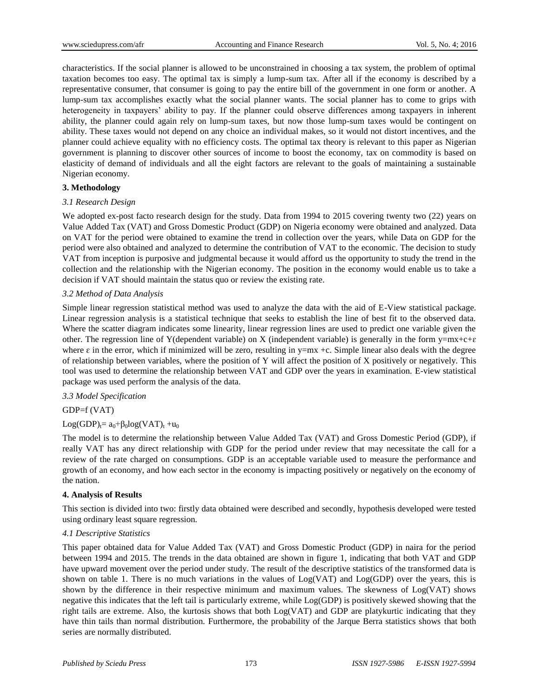characteristics. If the social planner is allowed to be unconstrained in choosing a tax system, the problem of optimal taxation becomes too easy. The optimal tax is simply a lump-sum tax. After all if the economy is described by a representative consumer, that consumer is going to pay the entire bill of the government in one form or another. A lump-sum tax accomplishes exactly what the social planner wants. The social planner has to come to grips with heterogeneity in taxpayers' ability to pay. If the planner could observe differences among taxpayers in inherent ability, the planner could again rely on lump-sum taxes, but now those lump-sum taxes would be contingent on ability. These taxes would not depend on any choice an individual makes, so it would not distort incentives, and the planner could achieve equality with no efficiency costs. The optimal tax theory is relevant to this paper as Nigerian government is planning to discover other sources of income to boost the economy, tax on commodity is based on elasticity of demand of individuals and all the eight factors are relevant to the goals of maintaining a sustainable Nigerian economy.

#### **3. Methodology**

#### *3.1 Research Design*

We adopted ex-post facto research design for the study. Data from 1994 to 2015 covering twenty two (22) years on Value Added Tax (VAT) and Gross Domestic Product (GDP) on Nigeria economy were obtained and analyzed. Data on VAT for the period were obtained to examine the trend in collection over the years, while Data on GDP for the period were also obtained and analyzed to determine the contribution of VAT to the economic. The decision to study VAT from inception is purposive and judgmental because it would afford us the opportunity to study the trend in the collection and the relationship with the Nigerian economy. The position in the economy would enable us to take a decision if VAT should maintain the status quo or review the existing rate.

#### *3.2 Method of Data Analysis*

Simple linear regression statistical method was used to analyze the data with the aid of E-View statistical package. Linear regression analysis is a statistical technique that seeks to establish the line of best fit to the observed data. Where the scatter diagram indicates some linearity, linear regression lines are used to predict one variable given the other. The regression line of Y(dependent variable) on X (independent variable) is generally in the form  $y=mx+c+\epsilon$ where  $\varepsilon$  in the error, which if minimized will be zero, resulting in  $y=mx +c$ . Simple linear also deals with the degree of relationship between variables, where the position of Y will affect the position of X positively or negatively. This tool was used to determine the relationship between VAT and GDP over the years in examination. E-view statistical package was used perform the analysis of the data.

#### *3.3 Model Specification*

GDP=f (VAT)

#### $Log(GDP)_{t} = a_0 + \beta_0 log(VAT)_{t} + u_0$

The model is to determine the relationship between Value Added Tax (VAT) and Gross Domestic Period (GDP), if really VAT has any direct relationship with GDP for the period under review that may necessitate the call for a review of the rate charged on consumptions. GDP is an acceptable variable used to measure the performance and growth of an economy, and how each sector in the economy is impacting positively or negatively on the economy of the nation.

#### **4. Analysis of Results**

This section is divided into two: firstly data obtained were described and secondly, hypothesis developed were tested using ordinary least square regression.

#### *4.1 Descriptive Statistics*

This paper obtained data for Value Added Tax (VAT) and Gross Domestic Product (GDP) in naira for the period between 1994 and 2015. The trends in the data obtained are shown in figure 1, indicating that both VAT and GDP have upward movement over the period under study. The result of the descriptive statistics of the transformed data is shown on table 1. There is no much variations in the values of  $Log(VAT)$  and  $Log(GDP)$  over the years, this is shown by the difference in their respective minimum and maximum values. The skewness of Log(VAT) shows negative this indicates that the left tail is particularly extreme, while Log(GDP) is positively skewed showing that the right tails are extreme. Also, the kurtosis shows that both Log(VAT) and GDP are platykurtic indicating that they have thin tails than normal distribution. Furthermore, the probability of the Jarque Berra statistics shows that both series are normally distributed.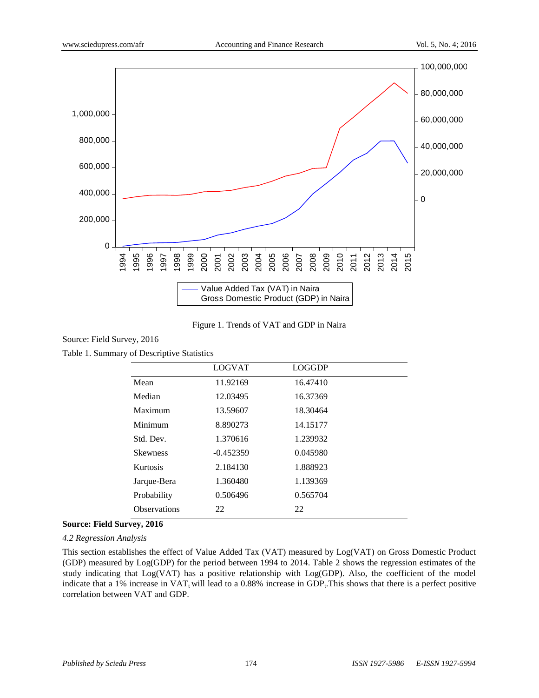

Figure 1. Trends of VAT and GDP in Naira

#### Source: Field Survey, 2016

Table 1. Summary of Descriptive Statistics

|              | <b>LOGVAT</b> | <b>LOGGDP</b> |  |
|--------------|---------------|---------------|--|
| Mean         | 11.92169      | 16.47410      |  |
| Median       | 12.03495      | 16.37369      |  |
| Maximum      | 13.59607      | 18.30464      |  |
| Minimum      | 8.890273      | 14.15177      |  |
| Std. Dev.    | 1.370616      | 1.239932      |  |
| Skewness     | $-0.452359$   | 0.045980      |  |
| Kurtosis     | 2.184130      | 1.888923      |  |
| Jarque-Bera  | 1.360480      | 1.139369      |  |
| Probability  | 0.506496      | 0.565704      |  |
| Observations | 22            | 22            |  |

# **Source: Field Survey, 2016**

#### *4.2 Regression Analysis*

This section establishes the effect of Value Added Tax (VAT) measured by Log(VAT) on Gross Domestic Product (GDP) measured by Log(GDP) for the period between 1994 to 2014. Table 2 shows the regression estimates of the study indicating that Log(VAT) has a positive relationship with Log(GDP). Also, the coefficient of the model indicate that a 1% increase in  $VAT_t$  will lead to a 0.88% increase in  $GDP_t$ . This shows that there is a perfect positive correlation between VAT and GDP.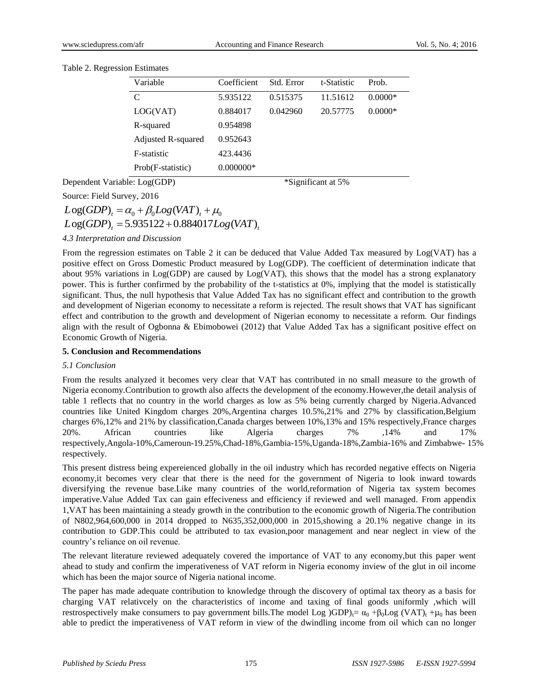# Table 2. Regression Estimates

| Variable           | Coefficient | Std. Error | t-Statistic | Prob.     |
|--------------------|-------------|------------|-------------|-----------|
| $\mathcal{C}$      | 5.935122    | 0.515375   | 11.51612    | $0.0000*$ |
| LOG(VAT)           | 0.884017    | 0.042960   | 20.57775    | $0.0000*$ |
| R-squared          | 0.954898    |            |             |           |
| Adjusted R-squared | 0.952643    |            |             |           |
| F-statistic        | 423.4436    |            |             |           |
| Prob(F-statistic)  | $0.000000*$ |            |             |           |
|                    |             |            |             |           |

Dependent Variable: Log(GDP) \*Significant at 5%

Source: Field Survey, 2016

# $Log(GDP) = \alpha_0 + \beta_0 Log(VAT) + \mu_0$  $Log(GDP) = 5.935122 + 0.884017 Log(VAT)$

# *4.3 Interpretation and Discussion*

From the regression estimates on Table 2 it can be deduced that Value Added Tax measured by Log(VAT) has a positive effect on Gross Domestic Product measured by Log(GDP). The coefficient of determination indicate that about 95% variations in Log(GDP) are caused by Log(VAT), this shows that the model has a strong explanatory power. This is further confirmed by the probability of the t-statistics at 0%, implying that the model is statistically significant. Thus, the null hypothesis that Value Added Tax has no significant effect and contribution to the growth and development of Nigerian economy to necessitate a reform is rejected. The result shows that VAT has significant effect and contribution to the growth and development of Nigerian economy to necessitate a reform. Our findings align with the result of Ogbonna & Ebimobowei (2012) that Value Added Tax has a significant positive effect on Economic Growth of Nigeria.

# **5. Conclusion and Recommendations**

#### *5.1 Conclusion*

From the results analyzed it becomes very clear that VAT has contributed in no small measure to the growth of Nigeria economy.Contribution to growth also affects the development of the economy.However,the detail analysis of table 1 reflects that no country in the world charges as low as 5% being currently charged by Nigeria.Advanced countries like United Kingdom charges 20%,Argentina charges 10.5%,21% and 27% by classification,Belgium charges 6%,12% and 21% by classification,Canada charges between 10%,13% and 15% respectively,France charges 20%. African countries like Algeria charges 7% ,14% and 17% respectively,Angola-10%,Cameroun-19.25%,Chad-18%,Gambia-15%,Uganda-18%,Zambia-16% and Zimbabwe- 15% respectively.

This present distress being expereienced globally in the oil industry which has recorded negative effects on Nigeria economy,it becomes very clear that there is the need for the government of Nigeria to look inward towards diversifying the revenue base.Like many countries of the world,reformation of Nigeria tax system becomes imperative.Value Added Tax can gain effeciveness and efficiency if reviewed and well managed. From appendix 1,VAT has been maintaining a steady growth in the contribution to the economic growth of Nigeria.The contribution of N802,964,600,000 in 2014 dropped to N635,352,000,000 in 2015,showing a 20.1% negative change in its contribution to GDP.This could be attributed to tax evasion,poor management and near neglect in view of the country's reliance on oil revenue.

The relevant literature reviewed adequately covered the importance of VAT to any economy,but this paper went ahead to study and confirm the imperativeness of VAT reform in Nigeria economy inview of the glut in oil income which has been the major source of Nigeria national income.

The paper has made adequate contribution to knowledge through the discovery of optimal tax theory as a basis for charging VAT relativcely on the characteristics of income and taxing of final goods uniformly ,which will restrospectively make consumers to pay government bills. The model Log )GDP)<sub>t</sub>=  $\alpha_0$  + $\beta_0$ Log (VAT)<sub>t</sub> +  $\mu_0$  has been able to predict the imperativeness of VAT reform in view of the dwindling income from oil which can no longer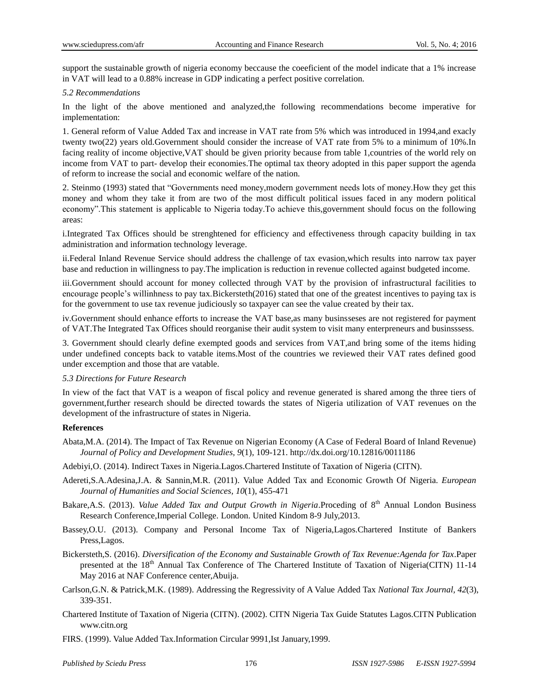support the sustainable growth of nigeria economy beccause the coeeficient of the model indicate that a 1% increase in VAT will lead to a 0.88% increase in GDP indicating a perfect positive correlation.

#### *5.2 Recommendations*

In the light of the above mentioned and analyzed,the following recommendations become imperative for implementation:

1. General reform of Value Added Tax and increase in VAT rate from 5% which was introduced in 1994,and exacly twenty two(22) years old.Government should consider the increase of VAT rate from 5% to a minimum of 10%.In facing reality of income objective,VAT should be given priority because from table 1,countries of the world rely on income from VAT to part- develop their economies.The optimal tax theory adopted in this paper support the agenda of reform to increase the social and economic welfare of the nation.

2. Steinmo (1993) stated that "Governments need money,modern government needs lots of money.How they get this money and whom they take it from are two of the most difficult political issues faced in any modern political economy".This statement is applicable to Nigeria today.To achieve this,government should focus on the following areas:

i.Integrated Tax Offices should be strenghtened for efficiency and effectiveness through capacity building in tax administration and information technology leverage.

ii.Federal Inland Revenue Service should address the challenge of tax evasion,which results into narrow tax payer base and reduction in willingness to pay.The implication is reduction in revenue collected against budgeted income.

iii.Government should account for money collected through VAT by the provision of infrastructural facilities to encourage people's willinhness to pay tax.Bickersteth(2016) stated that one of the greatest incentives to paying tax is for the government to use tax revenue judiciously so taxpayer can see the value created by their tax.

iv.Government should enhance efforts to increase the VAT base,as many businsseses are not registered for payment of VAT.The Integrated Tax Offices should reorganise their audit system to visit many enterpreneurs and businsssess.

3. Government should clearly define exempted goods and services from VAT,and bring some of the items hiding under undefined concepts back to vatable items.Most of the countries we reviewed their VAT rates defined good under excemption and those that are vatable.

#### *5.3 Directions for Future Research*

In view of the fact that VAT is a weapon of fiscal policy and revenue generated is shared among the three tiers of government,further research should be directed towards the states of Nigeria utilization of VAT revenues on the development of the infrastructure of states in Nigeria.

#### **References**

- Abata,M.A. (2014). The Impact of Tax Revenue on Nigerian Economy (A Case of Federal Board of Inland Revenue) *Journal of Policy and Development Studies, 9*(1), 109-121. <http://dx.doi.org/10.12816/0011186>
- Adebiyi,O. (2014). Indirect Taxes in Nigeria.Lagos.Chartered Institute of Taxation of Nigeria (CITN).
- Adereti,S.A.Adesina,J.A. & Sannin,M.R. (2011). Value Added Tax and Economic Growth Of Nigeria. *European Journal of Humanities and Social Sciences, 10*(1), 455-471
- Bakare,A.S. (2013). *Value Added Tax and Output Growth in Nigeria*.Proceding of 8<sup>th</sup> Annual London Business Research Conference,Imperial College. London. United Kindom 8-9 July,2013.
- Bassey,O.U. (2013). Company and Personal Income Tax of Nigeria,Lagos.Chartered Institute of Bankers Press,Lagos.
- Bickersteth,S. (2016). *Diversification of the Economy and Sustainable Growth of Tax Revenue:Agenda for Tax*.Paper presented at the 18<sup>th</sup> Annual Tax Conference of The Chartered Institute of Taxation of Nigeria(CITN) 11-14 May 2016 at NAF Conference center,Abuija.
- Carlson,G.N. & Patrick,M.K. (1989). Addressing the Regressivity of A Value Added Tax *National Tax Journal, 42*(3), 339-351.
- Chartered Institute of Taxation of Nigeria (CITN). (2002). CITN Nigeria Tax Guide Statutes Lagos.CITN Publication [www.citn.org](http://www.citn.org/)

FIRS. (1999). Value Added Tax.Information Circular 9991,Ist January,1999.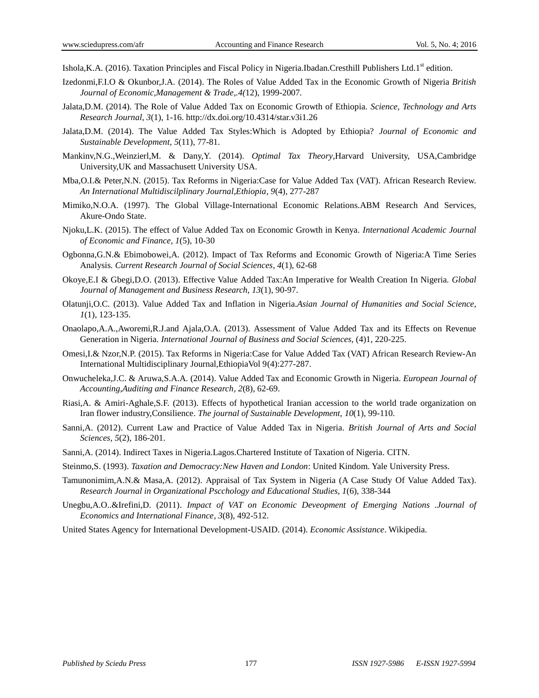Ishola, K.A. (2016). Taxation Principles and Fiscal Policy in Nigeria.Ibadan.Cresthill Publishers Ltd.1st edition.

- Izedonmi,F.I.O & Okunbor,J.A. (2014). The Roles of Value Added Tax in the Economic Growth of Nigeria *British Journal of Economic,Management & Trade,.4(*12), 1999-2007*.*
- Jalata,D.M. (2014). The Role of Value Added Tax on Economic Growth of Ethiopia. *Science, Technology and Arts Research Journal, 3*(1), 1-16. <http://dx.doi.org/10.4314/star.v3i1.26>
- Jalata,D.M. (2014). The Value Added Tax Styles:Which is Adopted by Ethiopia? *Journal of Economic and Sustainable Development, 5*(11), 77-81.
- Mankinv,N.G.,Weinzierl,M. & Dany,Y. (2014). *Optimal Tax Theory*,Harvard University, USA,Cambridge University,UK and Massachusett University USA.
- Mba,O.I.& Peter,N.N. (2015). Tax Reforms in Nigeria:Case for Value Added Tax (VAT). African Research Review. *An International Multidiscilplinary Journal,Ethiopia, 9*(4), 277-287
- Mimiko,N.O.A. (1997). The Global Village-International Economic Relations.ABM Research And Services, Akure-Ondo State.
- Njoku,L.K. (2015). The effect of Value Added Tax on Economic Growth in Kenya. *International Academic Journal of Economic and Finance, 1*(5), 10-30
- Ogbonna,G.N.& Ebimobowei,A. (2012). Impact of Tax Reforms and Economic Growth of Nigeria:A Time Series Analysis*. Current Research Journal of Social Sciences, 4*(1), 62-68
- Okoye,E.I & Gbegi,D.O. (2013). Effective Value Added Tax:An Imperative for Wealth Creation In Nigeria*. Global Journal of Management and Business Research, 13*(1), 90-97.
- Olatunji,O.C. (2013). Value Added Tax and Inflation in Nigeria.*Asian Journal of Humanities and Social Science, 1*(1), 123-135.
- Onaolapo,A.A.,Aworemi,R.J.and Ajala,O.A. (2013). Assessment of Value Added Tax and its Effects on Revenue Generation in Nigeria. *International Journal of Business and Social Sciences,* (4)1, 220-225.
- Omesi,I.& Nzor,N.P. (2015). Tax Reforms in Nigeria:Case for Value Added Tax (VAT) African Research Review-An International Multidisciplinary Journal,EthiopiaVol 9(4):277-287.
- Onwucheleka,J.C. & Aruwa,S.A.A. (2014). Value Added Tax and Economic Growth in Nigeria. *European Journal of Accounting,Auditing and Finance Research, 2*(8), 62-69.
- Riasi,A. & Amiri-Aghale,S.F. (2013). Effects of hypothetical Iranian accession to the world trade organization on Iran flower industry,Consilience. *The journal of Sustainable Development, 10*(1), 99-110.
- Sanni,A. (2012). Current Law and Practice of Value Added Tax in Nigeria*. British Journal of Arts and Social Sciences, 5*(2), 186-201.
- Sanni,A. (2014). Indirect Taxes in Nigeria.Lagos.Chartered Institute of Taxation of Nigeria. CITN.

Steinmo,S. (1993). *Taxation and Democracy:New Haven and London*: United Kindom. Yale University Press.

- Tamunonimim,A.N.& Masa,A. (2012). Appraisal of Tax System in Nigeria (A Case Study Of Value Added Tax). *Research Journal in Organizational Pscchology and Educational Studies, 1*(6), 338-344
- Unegbu,A.O..&Irefini,D. (2011). *Impact of VAT on Economic Deveopment of Emerging Nations .Journal of Economics and International Finance, 3*(8), 492-512.
- United States Agency for International Development-USAID. (2014). *Economic Assistance*. Wikipedia.